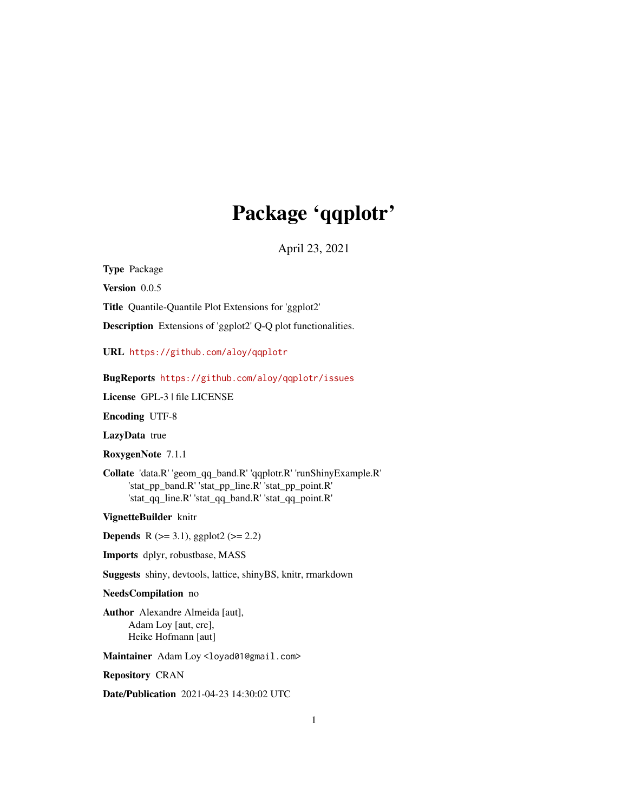# Package 'qqplotr'

April 23, 2021

<span id="page-0-0"></span>Type Package

Version 0.0.5

Title Quantile-Quantile Plot Extensions for 'ggplot2'

Description Extensions of 'ggplot2' Q-Q plot functionalities.

URL <https://github.com/aloy/qqplotr>

BugReports <https://github.com/aloy/qqplotr/issues>

License GPL-3 | file LICENSE

Encoding UTF-8

LazyData true

RoxygenNote 7.1.1

Collate 'data.R' 'geom\_qq\_band.R' 'qqplotr.R' 'runShinyExample.R' 'stat\_pp\_band.R' 'stat\_pp\_line.R' 'stat\_pp\_point.R' 'stat\_qq\_line.R' 'stat\_qq\_band.R' 'stat\_qq\_point.R'

VignetteBuilder knitr

**Depends** R ( $>= 3.1$ ), ggplot2 ( $>= 2.2$ )

Imports dplyr, robustbase, MASS

Suggests shiny, devtools, lattice, shinyBS, knitr, rmarkdown

NeedsCompilation no

Author Alexandre Almeida [aut], Adam Loy [aut, cre], Heike Hofmann [aut]

Maintainer Adam Loy <loyad01@gmail.com>

Repository CRAN

Date/Publication 2021-04-23 14:30:02 UTC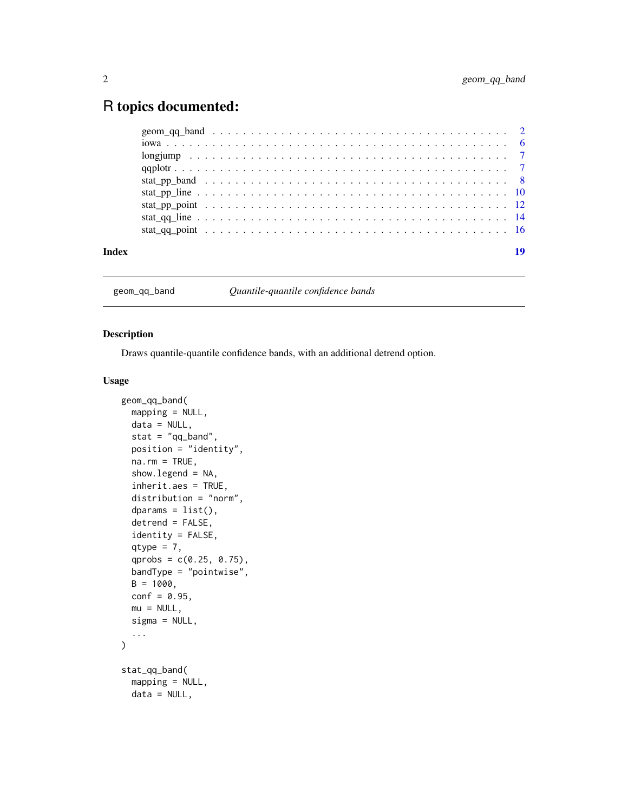# <span id="page-1-0"></span>R topics documented:

|  |  |  |  |  |  |  |  |  |  |  |  |  |  |  |  |  |  |  |  | 19 |
|--|--|--|--|--|--|--|--|--|--|--|--|--|--|--|--|--|--|--|--|----|
|  |  |  |  |  |  |  |  |  |  |  |  |  |  |  |  |  |  |  |  |    |

geom\_qq\_band *Quantile-quantile confidence bands*

# Description

Draws quantile-quantile confidence bands, with an additional detrend option.

## Usage

```
geom_qq_band(
 mapping = NULL,
 data = NULL,stat = "qq\_band",position = "identity",
  na.rm = TRUE,show.legend = NA,
  inherit.aes = TRUE,
  distribution = "norm",
  dparams = list(),
  detrend = FALSE,
  identity = FALSE,
  qtype = 7,
  qprobs = c(0.25, 0.75),
 bandType = "pointwise",
 B = 1000,conf = 0.95,mu = NULL,sigma = NULL,
  ...
\mathcal{L}stat_qq_band(
 mapping = NULL,
 data = NULL,
```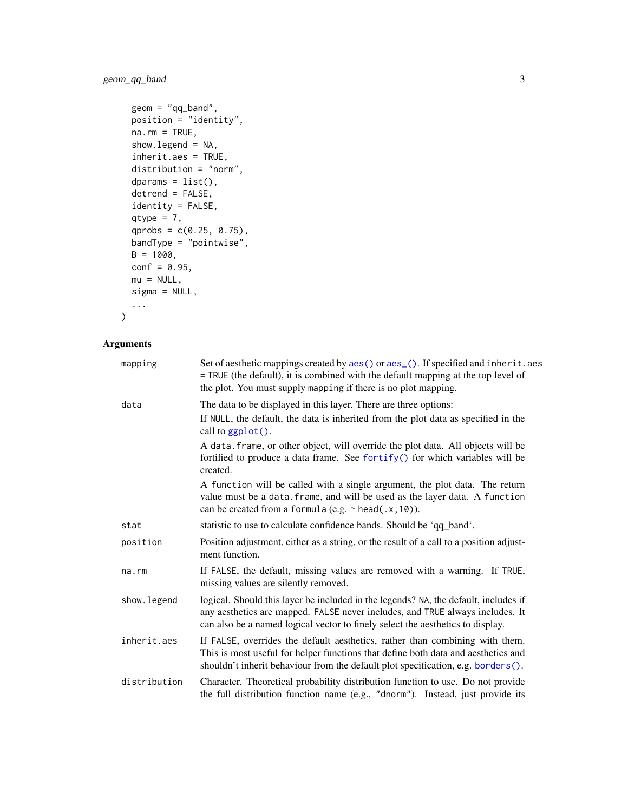# <span id="page-2-0"></span>geom\_qq\_band 3

```
geom = "qq_band",
position = "identity",
na.rm = TRUE,show.legend = NA,
inherit.aes = TRUE,
distribution = "norm",
dparams = list(),
detrend = FALSE,
identity = FALSE,
qtype = 7,qprobs = c(0.25, 0.75),
bandType = "pointwise",
B = 1000,conf = 0.95,mu = NULL,sigma = NULL,
...
```
# Arguments

 $\mathcal{L}$ 

| mapping      | Set of aesthetic mappings created by aes() or aes_(). If specified and inherit.aes<br>= TRUE (the default), it is combined with the default mapping at the top level of<br>the plot. You must supply mapping if there is no plot mapping.              |
|--------------|--------------------------------------------------------------------------------------------------------------------------------------------------------------------------------------------------------------------------------------------------------|
| data         | The data to be displayed in this layer. There are three options:                                                                                                                                                                                       |
|              | If NULL, the default, the data is inherited from the plot data as specified in the<br>call to $ggplot()$ .                                                                                                                                             |
|              | A data. frame, or other object, will override the plot data. All objects will be<br>fortified to produce a data frame. See fortify() for which variables will be<br>created.                                                                           |
|              | A function will be called with a single argument, the plot data. The return<br>value must be a data. frame, and will be used as the layer data. A function<br>can be created from a formula (e.g. ~ head(.x, 10)).                                     |
| stat         | statistic to use to calculate confidence bands. Should be 'qq_band'.                                                                                                                                                                                   |
| position     | Position adjustment, either as a string, or the result of a call to a position adjust-<br>ment function.                                                                                                                                               |
| na.rm        | If FALSE, the default, missing values are removed with a warning. If TRUE,<br>missing values are silently removed.                                                                                                                                     |
| show. legend | logical. Should this layer be included in the legends? NA, the default, includes if<br>any aesthetics are mapped. FALSE never includes, and TRUE always includes. It<br>can also be a named logical vector to finely select the aesthetics to display. |
| inherit.aes  | If FALSE, overrides the default aesthetics, rather than combining with them.<br>This is most useful for helper functions that define both data and aesthetics and<br>shouldn't inherit behaviour from the default plot specification, e.g. borders().  |
| distribution | Character. Theoretical probability distribution function to use. Do not provide<br>the full distribution function name (e.g., "dnorm"). Instead, just provide its                                                                                      |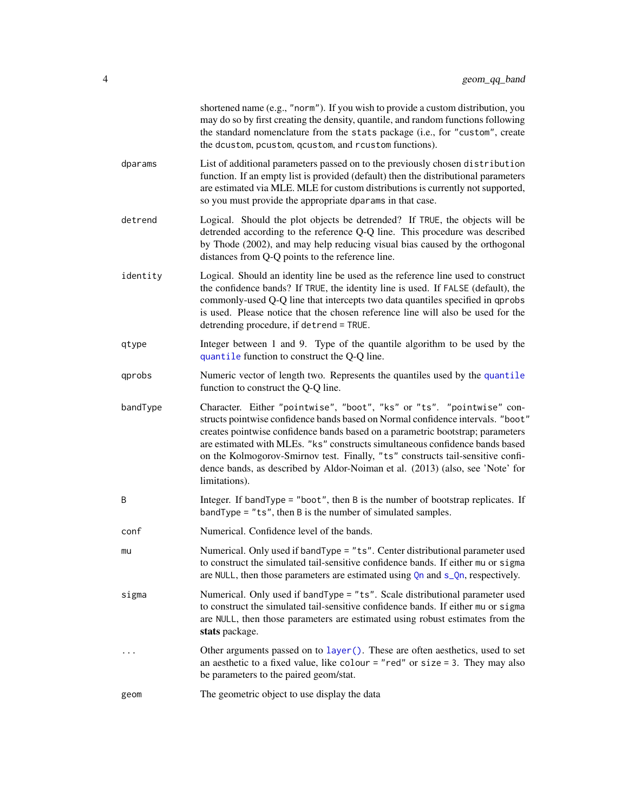<span id="page-3-0"></span>

|          | shortened name (e.g., "norm"). If you wish to provide a custom distribution, you<br>may do so by first creating the density, quantile, and random functions following<br>the standard nomenclature from the stats package (i.e., for "custom", create<br>the dcustom, pcustom, qcustom, and rcustom functions).                                                                                                                                                                                                |
|----------|----------------------------------------------------------------------------------------------------------------------------------------------------------------------------------------------------------------------------------------------------------------------------------------------------------------------------------------------------------------------------------------------------------------------------------------------------------------------------------------------------------------|
| dparams  | List of additional parameters passed on to the previously chosen distribution<br>function. If an empty list is provided (default) then the distributional parameters<br>are estimated via MLE. MLE for custom distributions is currently not supported,<br>so you must provide the appropriate dparams in that case.                                                                                                                                                                                           |
| detrend  | Logical. Should the plot objects be detrended? If TRUE, the objects will be<br>detrended according to the reference Q-Q line. This procedure was described<br>by Thode (2002), and may help reducing visual bias caused by the orthogonal<br>distances from Q-Q points to the reference line.                                                                                                                                                                                                                  |
| identity | Logical. Should an identity line be used as the reference line used to construct<br>the confidence bands? If TRUE, the identity line is used. If FALSE (default), the<br>commonly-used Q-Q line that intercepts two data quantiles specified in qprobs<br>is used. Please notice that the chosen reference line will also be used for the<br>detrending procedure, if detrend = TRUE.                                                                                                                          |
| qtype    | Integer between 1 and 9. Type of the quantile algorithm to be used by the<br>quantile function to construct the Q-Q line.                                                                                                                                                                                                                                                                                                                                                                                      |
| qprobs   | Numeric vector of length two. Represents the quantiles used by the quantile<br>function to construct the Q-Q line.                                                                                                                                                                                                                                                                                                                                                                                             |
| bandType | Character. Either "pointwise", "boot", "ks" or "ts". "pointwise" con-<br>structs pointwise confidence bands based on Normal confidence intervals. "boot"<br>creates pointwise confidence bands based on a parametric bootstrap; parameters<br>are estimated with MLEs. "ks" constructs simultaneous confidence bands based<br>on the Kolmogorov-Smirnov test. Finally, "ts" constructs tail-sensitive confi-<br>dence bands, as described by Aldor-Noiman et al. (2013) (also, see 'Note' for<br>limitations). |
| B        | Integer. If bandType = "boot", then $B$ is the number of bootstrap replicates. If<br>$bandType = "ts", then B is the number of simulated samples.$                                                                                                                                                                                                                                                                                                                                                             |
| conf     | Numerical. Confidence level of the bands.                                                                                                                                                                                                                                                                                                                                                                                                                                                                      |
| mu       | Numerical. Only used if bandType = "ts". Center distributional parameter used<br>to construct the simulated tail-sensitive confidence bands. If either mu or sigma<br>are NULL, then those parameters are estimated using Qn and s_Qn, respectively.                                                                                                                                                                                                                                                           |
| sigma    | Numerical. Only used if bandType = "ts". Scale distributional parameter used<br>to construct the simulated tail-sensitive confidence bands. If either mu or sigma<br>are NULL, then those parameters are estimated using robust estimates from the<br>stats package.                                                                                                                                                                                                                                           |
|          | Other arguments passed on to layer (). These are often aesthetics, used to set<br>an aesthetic to a fixed value, like colour = "red" or size = 3. They may also<br>be parameters to the paired geom/stat.                                                                                                                                                                                                                                                                                                      |
| geom     | The geometric object to use display the data                                                                                                                                                                                                                                                                                                                                                                                                                                                                   |
|          |                                                                                                                                                                                                                                                                                                                                                                                                                                                                                                                |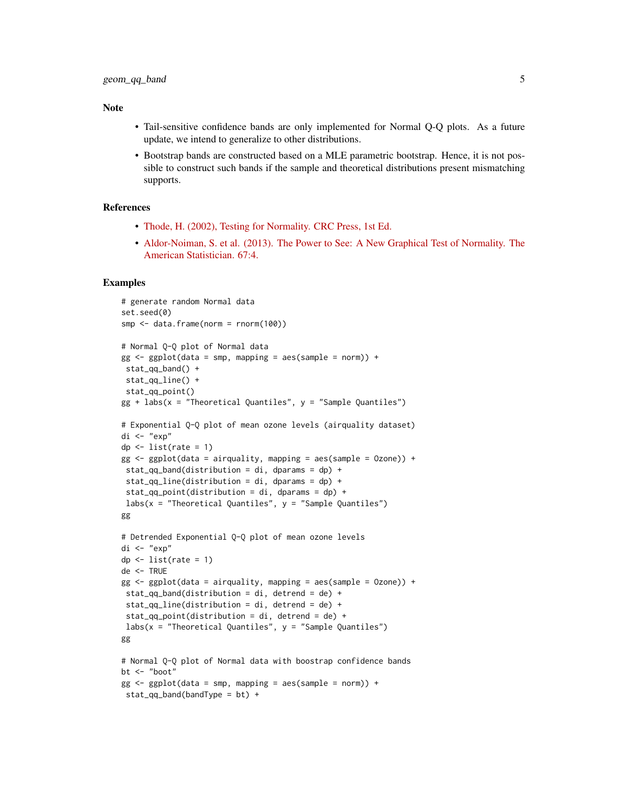#### Note

- Tail-sensitive confidence bands are only implemented for Normal Q-Q plots. As a future update, we intend to generalize to other distributions.
- Bootstrap bands are constructed based on a MLE parametric bootstrap. Hence, it is not possible to construct such bands if the sample and theoretical distributions present mismatching supports.

#### References

- [Thode, H. \(2002\), Testing for Normality. CRC Press, 1st Ed.](https://www.routledge.com/Testing-For-Normality/Thode/p/book/9780824796136)
- [Aldor-Noiman, S. et al. \(2013\). The Power to See: A New Graphical Test of Normality. The](https://www.tandfonline.com/doi/abs/10.1080/00031305.2013.847865) [American Statistician. 67:4.](https://www.tandfonline.com/doi/abs/10.1080/00031305.2013.847865)

```
# generate random Normal data
set.seed(0)
smp <- data.frame(norm = rnorm(100))
# Normal Q-Q plot of Normal data
gg \leq-ggplot(data = smp, mapping = aes(sample = norm)) +stat_qq_band() +
stat_qq_line() +
stat_qq_point()
gg + labs(x = "Theoretical Quantiles", y = "Sample Quantiles")
# Exponential Q-Q plot of mean ozone levels (airquality dataset)
di <- "exp"
dp \leftarrow list(rate = 1)
gg \leq - ggplot(data = airquality, mapping = aes(sample = Ozone)) +stat_qq_band(distribution = di, dparams = dp) +
stat_qq_line(distribution = di, dparams = dp) +
stat_qq_point(distribution = di, dparams = dp) +
labs(x = "Theoretical Quantiles", y = "Sample Quantiles")gg
# Detrended Exponential Q-Q plot of mean ozone levels
di <- "exp"
dp \leftarrow list(rate = 1)
de <- TRUE
gg \leq-ggplot(data = airquality, mapping = aes(sample = Ozone)) +stat_qq_band(distribution = di, detrend = de) +
stat_qq_line(distribution = di, detrend = de) +
 stat_qq\_point(distribution = di, determined = de) +labs(x = "Theoretical Quantiles", y = "Sample Quantiles")gg
# Normal Q-Q plot of Normal data with boostrap confidence bands
bt <- "boot"
gg \le - ggplot(data = smp, mapping = aes(sample = norm)) +
stat_qq_band(bandType = bt) +
```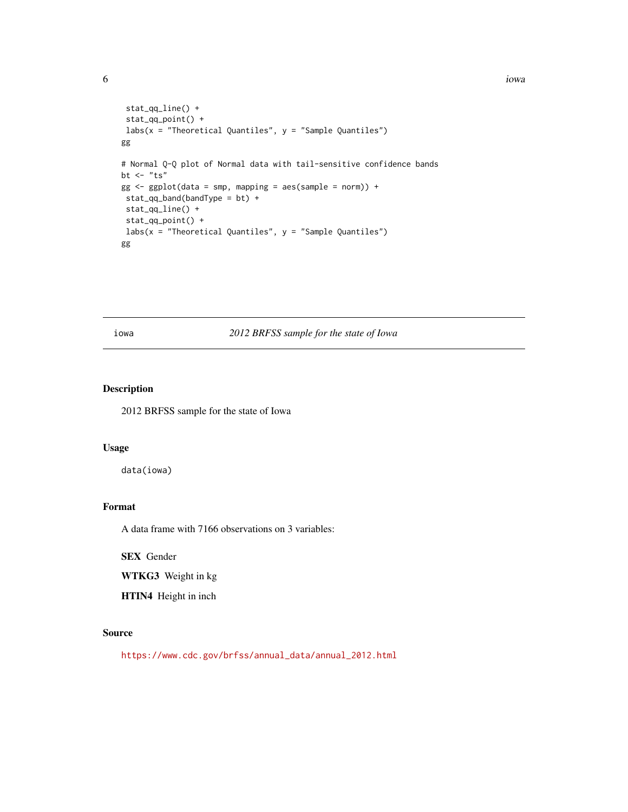```
stat_qq_line() +
stat_qq_point() +
labs(x = "Theoretical Quantiles", y = "Sample Quantiles")gg
# Normal Q-Q plot of Normal data with tail-sensitive confidence bands
bt \leftarrow "ts"
gg \leq-ggplot(data = smp, mapping = aes(sample = norm)) +stat_qq_band(bandType = bt) +
stat_qq_line() +
 stat_qq_point() +
labs(x = "Theoretical Quantiles", y = "Sample Quantiles")gg
```
# iowa *2012 BRFSS sample for the state of Iowa*

# Description

2012 BRFSS sample for the state of Iowa

### Usage

data(iowa)

## Format

A data frame with 7166 observations on 3 variables:

SEX Gender

WTKG3 Weight in kg

HTIN4 Height in inch

# Source

[https://www.cdc.gov/brfss/annual\\_data/annual\\_2012.html](https://www.cdc.gov/brfss/annual_data/annual_2012.html)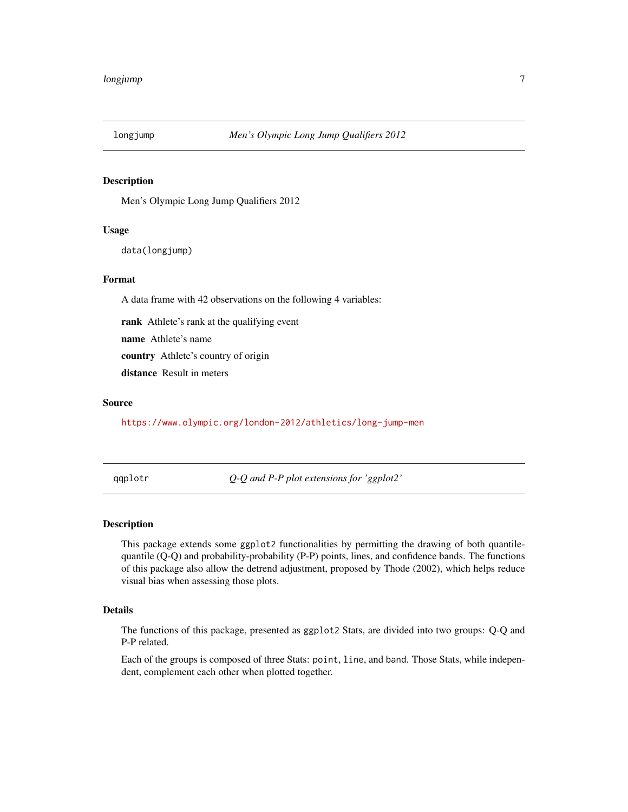<span id="page-6-0"></span>

#### Description

Men's Olympic Long Jump Qualifiers 2012

# Usage

```
data(longjump)
```
# Format

A data frame with 42 observations on the following 4 variables:

rank Athlete's rank at the qualifying event

name Athlete's name

country Athlete's country of origin

distance Result in meters

#### Source

<https://www.olympic.org/london-2012/athletics/long-jump-men>

qqplotr *Q-Q and P-P plot extensions for 'ggplot2'*

# Description

This package extends some ggplot2 functionalities by permitting the drawing of both quantilequantile (Q-Q) and probability-probability (P-P) points, lines, and confidence bands. The functions of this package also allow the detrend adjustment, proposed by Thode (2002), which helps reduce visual bias when assessing those plots.

# Details

The functions of this package, presented as ggplot2 Stats, are divided into two groups: Q-Q and P-P related.

Each of the groups is composed of three Stats: point, line, and band. Those Stats, while independent, complement each other when plotted together.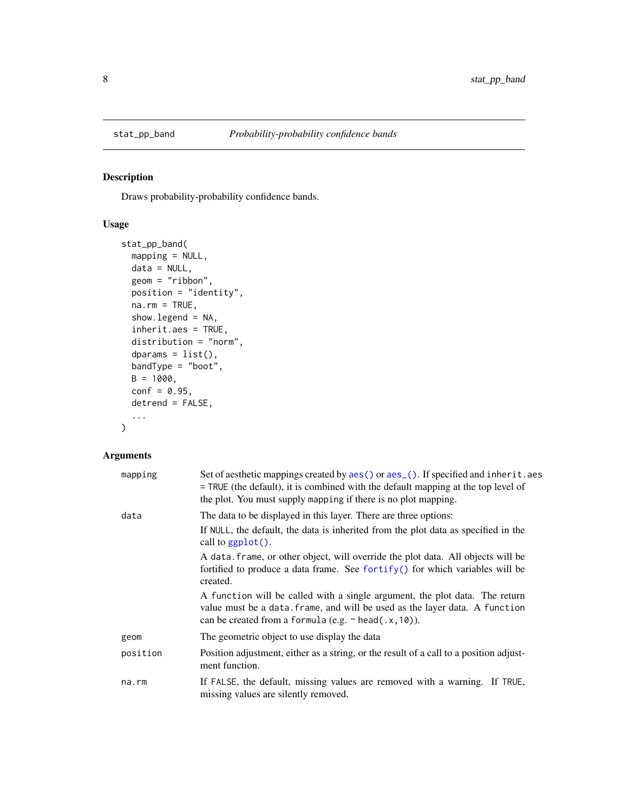# Description

Draws probability-probability confidence bands.

## Usage

```
stat_pp_band(
 mapping = NULL,
 data = NULL,
  geom = "ribbon",
 position = "identity",
 na.rm = TRUE,show.legend = NA,
  inherit.aes = TRUE,
 distribution = "norm",
  dparams = list(),
 bandType = "boot",
 B = 1000,conf = 0.95,detrend = FALSE,
  ...
)
```
# Arguments

| mapping  | Set of aesthetic mappings created by aes() or aes_(). If specified and inherit.aes<br>= TRUE (the default), it is combined with the default mapping at the top level of<br>the plot. You must supply mapping if there is no plot mapping. |
|----------|-------------------------------------------------------------------------------------------------------------------------------------------------------------------------------------------------------------------------------------------|
| data     | The data to be displayed in this layer. There are three options:<br>If NULL, the default, the data is inherited from the plot data as specified in the<br>call to $ggplot()$ .                                                            |
|          | A data, frame, or other object, will override the plot data. All objects will be<br>fortified to produce a data frame. See for $\text{trify}()$ for which variables will be<br>created.                                                   |
|          | A function will be called with a single argument, the plot data. The return<br>value must be a data. frame, and will be used as the layer data. A function<br>can be created from a formula (e.g. $\sim$ head(.x, 10)).                   |
| geom     | The geometric object to use display the data                                                                                                                                                                                              |
| position | Position adjustment, either as a string, or the result of a call to a position adjust-<br>ment function.                                                                                                                                  |
| na.rm    | If FALSE, the default, missing values are removed with a warning. If TRUE,<br>missing values are silently removed.                                                                                                                        |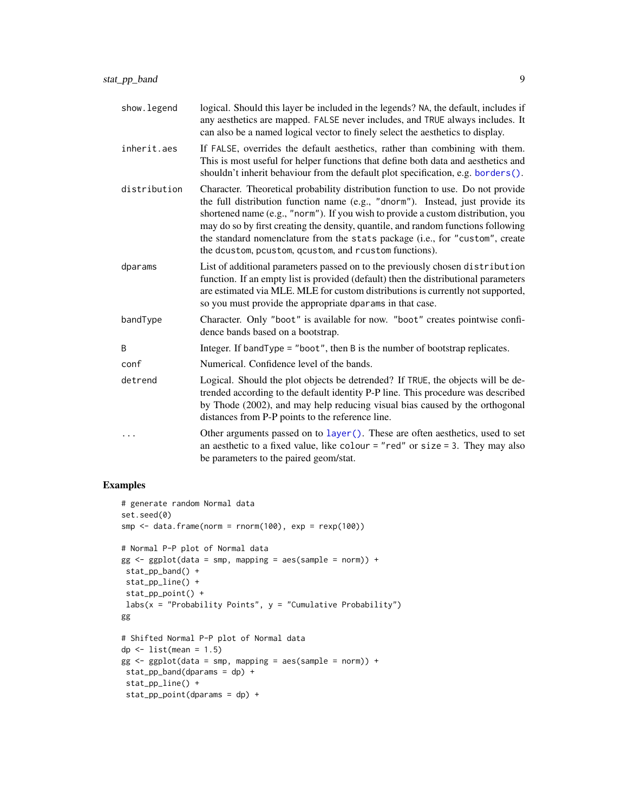<span id="page-8-0"></span>

| show.legend  | logical. Should this layer be included in the legends? NA, the default, includes if<br>any aesthetics are mapped. FALSE never includes, and TRUE always includes. It<br>can also be a named logical vector to finely select the aesthetics to display.                                                                                                                                                                                                                               |
|--------------|--------------------------------------------------------------------------------------------------------------------------------------------------------------------------------------------------------------------------------------------------------------------------------------------------------------------------------------------------------------------------------------------------------------------------------------------------------------------------------------|
| inherit.aes  | If FALSE, overrides the default aesthetics, rather than combining with them.<br>This is most useful for helper functions that define both data and aesthetics and<br>shouldn't inherit behaviour from the default plot specification, e.g. borders().                                                                                                                                                                                                                                |
| distribution | Character. Theoretical probability distribution function to use. Do not provide<br>the full distribution function name (e.g., "dnorm"). Instead, just provide its<br>shortened name (e.g., "norm"). If you wish to provide a custom distribution, you<br>may do so by first creating the density, quantile, and random functions following<br>the standard nomenclature from the stats package (i.e., for "custom", create<br>the dcustom, pcustom, qcustom, and rcustom functions). |
| dparams      | List of additional parameters passed on to the previously chosen distribution<br>function. If an empty list is provided (default) then the distributional parameters<br>are estimated via MLE. MLE for custom distributions is currently not supported,<br>so you must provide the appropriate dparams in that case.                                                                                                                                                                 |
| bandType     | Character. Only "boot" is available for now. "boot" creates pointwise confi-<br>dence bands based on a bootstrap.                                                                                                                                                                                                                                                                                                                                                                    |
| B            | Integer. If band Type $=$ "boot", then B is the number of bootstrap replicates.                                                                                                                                                                                                                                                                                                                                                                                                      |
| conf         | Numerical. Confidence level of the bands.                                                                                                                                                                                                                                                                                                                                                                                                                                            |
| detrend      | Logical. Should the plot objects be detrended? If TRUE, the objects will be de-<br>trended according to the default identity P-P line. This procedure was described<br>by Thode (2002), and may help reducing visual bias caused by the orthogonal<br>distances from P-P points to the reference line.                                                                                                                                                                               |
|              | Other arguments passed on to layer (). These are often aesthetics, used to set<br>an aesthetic to a fixed value, like colour = "red" or size = 3. They may also<br>be parameters to the paired geom/stat.                                                                                                                                                                                                                                                                            |

```
# generate random Normal data
set.seed(0)
smp \le data.frame(norm = rnorm(100), exp = resp(100))
# Normal P-P plot of Normal data
gg \leq-ggplot(data = smp, mapping = aes(sample = norm)) +stat_pp_band() +
stat_pp_line() +
stat_pp_point() +
labs(x = "Probability Points", y = "Cumulative Probability")gg
# Shifted Normal P-P plot of Normal data
dp \le - list(mean = 1.5)
gg \le - ggplot(data = smp, mapping = aes(sample = norm)) +
stat_pp_band(dparams = dp) +
stat_pp_line() +
stat_pp_point(dparams = dp) +
```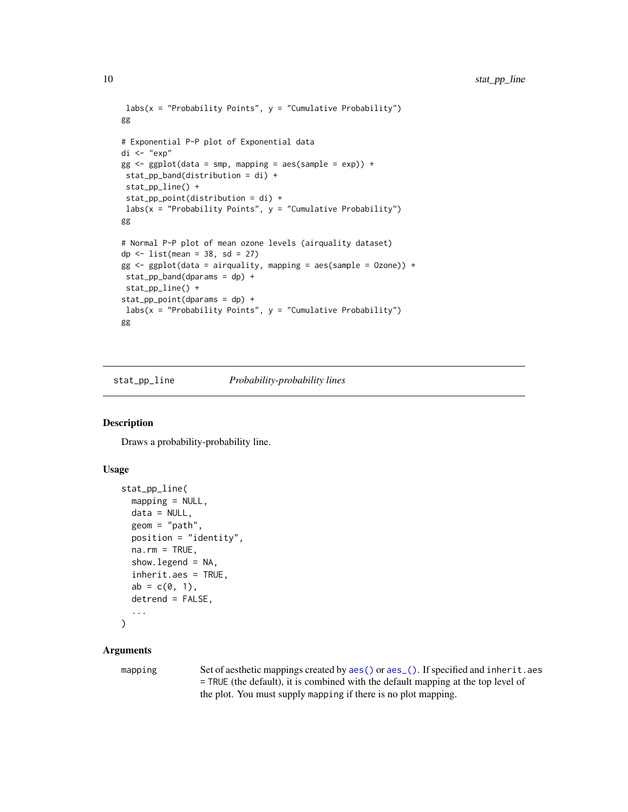```
\text{labs}(x = \text{"Probability Points"}, y = \text{"Cumulative Probability"}gg
# Exponential P-P plot of Exponential data
di <- "exp"
gg \leftarrow ggplot(data = smp, mapping = aes(sample = exp)) +stat_pp_band(distribution = di) +
stat_pp_line() +
stat_pp_point(distribution = di) +
labs(x = "Probability Points", y = "Cumulative Probability")gg
# Normal P-P plot of mean ozone levels (airquality dataset)
dp \leftarrow list(mean = 38, sd = 27)
gg <- ggplot(data = airquality, mapping = aes(sample = Ozone)) +
stat_pp_band(dparams = dp) +
stat_pp_line() +
stat_pp_point(dparams = dp) +
labs(x = "Probability Points", y = "Cumulative Probability")gg
```
stat\_pp\_line *Probability-probability lines*

# Description

Draws a probability-probability line.

#### Usage

```
stat_pp_line(
  mapping = NULL,
  data = NULL,
  geom = "path",
  position = "identity",
  na.rm = TRUE,show. legend = NA,
  inherit.aes = TRUE,
  ab = c(0, 1),determined = FALSE,...
)
```
# Arguments

mapping Set of aesthetic mappings created by [aes\(\)](#page-0-0) or [aes\\_\(\)](#page-0-0). If specified and inherit.aes = TRUE (the default), it is combined with the default mapping at the top level of the plot. You must supply mapping if there is no plot mapping.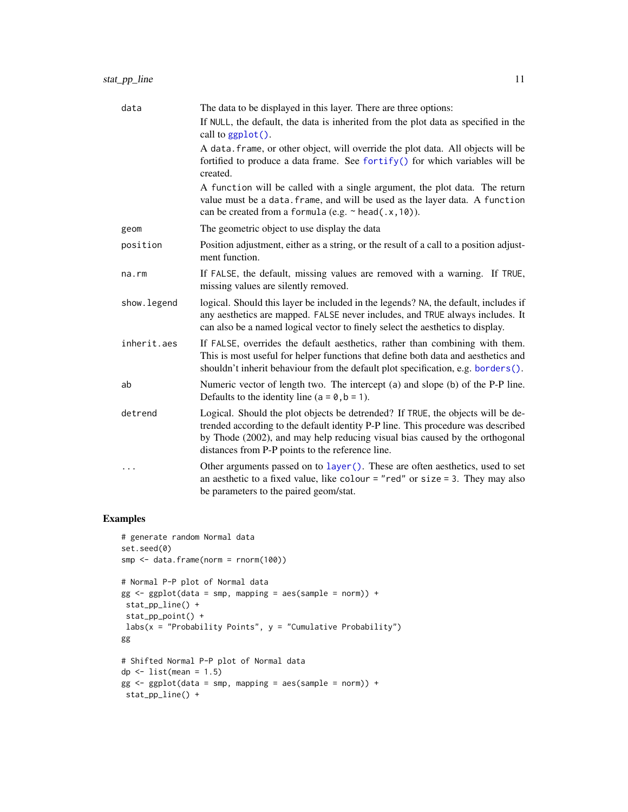<span id="page-10-0"></span>

| data         | The data to be displayed in this layer. There are three options:                                                                                                                                                                                                                                       |
|--------------|--------------------------------------------------------------------------------------------------------------------------------------------------------------------------------------------------------------------------------------------------------------------------------------------------------|
|              | If NULL, the default, the data is inherited from the plot data as specified in the<br>call to $ggplot()$ .                                                                                                                                                                                             |
|              | A data. frame, or other object, will override the plot data. All objects will be<br>fortified to produce a data frame. See fortify() for which variables will be<br>created.                                                                                                                           |
|              | A function will be called with a single argument, the plot data. The return<br>value must be a data. frame, and will be used as the layer data. A function<br>can be created from a formula (e.g. $\sim$ head(.x, 10)).                                                                                |
| geom         | The geometric object to use display the data                                                                                                                                                                                                                                                           |
| position     | Position adjustment, either as a string, or the result of a call to a position adjust-<br>ment function.                                                                                                                                                                                               |
| na.rm        | If FALSE, the default, missing values are removed with a warning. If TRUE,<br>missing values are silently removed.                                                                                                                                                                                     |
| show. legend | logical. Should this layer be included in the legends? NA, the default, includes if<br>any aesthetics are mapped. FALSE never includes, and TRUE always includes. It<br>can also be a named logical vector to finely select the aesthetics to display.                                                 |
| inherit.aes  | If FALSE, overrides the default aesthetics, rather than combining with them.<br>This is most useful for helper functions that define both data and aesthetics and<br>shouldn't inherit behaviour from the default plot specification, e.g. borders().                                                  |
| ab           | Numeric vector of length two. The intercept (a) and slope (b) of the P-P line.<br>Defaults to the identity line ( $a = 0$ , $b = 1$ ).                                                                                                                                                                 |
| detrend      | Logical. Should the plot objects be detrended? If TRUE, the objects will be de-<br>trended according to the default identity P-P line. This procedure was described<br>by Thode (2002), and may help reducing visual bias caused by the orthogonal<br>distances from P-P points to the reference line. |
| $\cdots$     | Other arguments passed on to layer (). These are often aesthetics, used to set<br>an aesthetic to a fixed value, like colour = "red" or size = 3. They may also<br>be parameters to the paired geom/stat.                                                                                              |

```
# generate random Normal data
set.seed(0)
smp <- data.frame(norm = rnorm(100))
# Normal P-P plot of Normal data
gg \leftarrow ggplot(data = smp, mapping = aes(sample = norm)) +stat_pp_line() +
stat_pp_point() +
\ln 2 \ldots "Probability Points", y = "Cumulative Probability")
gg
# Shifted Normal P-P plot of Normal data
dp \le list(mean = 1.5)
gg \leq - ggplot(data = smp, mapping = aes(sample = norm)) +stat_pp_line() +
```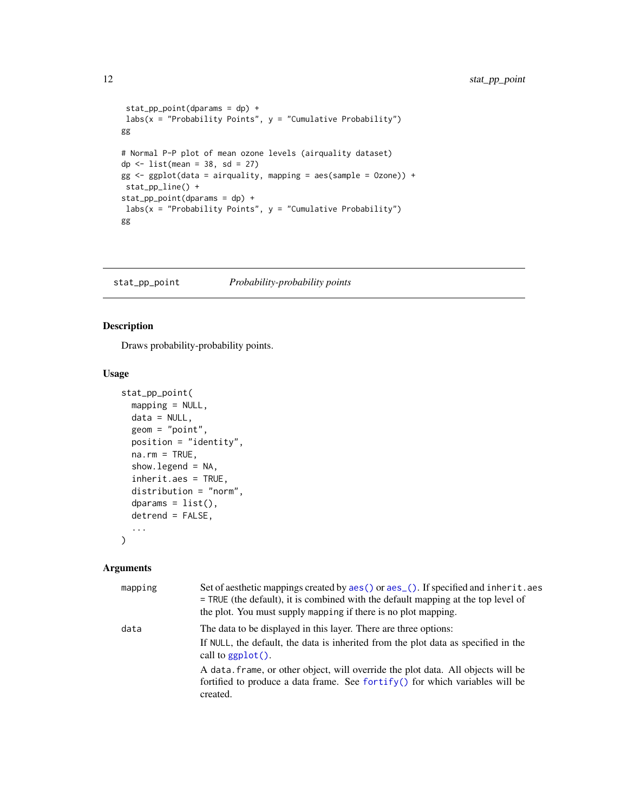```
stat_pp_point(dparams = dp) +
labs(x = "Probability Points", y = "Cumulative Probability")gg
# Normal P-P plot of mean ozone levels (airquality dataset)
dp \leftarrow list(mean = 38, sd = 27)
gg \leq-ggplot(data = airquality, mapping = aes(sample = Ozone)) +stat_pp_line() +
stat_pp_point(dparams = dp) +
labs(x = "Probability Points", y = "Cumulative Probability")gg
```
stat\_pp\_point *Probability-probability points*

# Description

Draws probability-probability points.

## Usage

```
stat_pp_point(
 mapping = NULL,
 data = NULL,
  geom = "point",
 position = "identity",
  na.rm = TRUE,show.legend = NA,
  inherit.aes = TRUE,
  distribution = "norm",
  dparams = list(),
  detrend = FALSE,...
)
```
#### Arguments

| mapping | Set of aesthetic mappings created by aes () or aes (). If specified and inherit. aes<br>$=$ TRUE (the default), it is combined with the default mapping at the top level of<br>the plot. You must supply mapping if there is no plot mapping. |
|---------|-----------------------------------------------------------------------------------------------------------------------------------------------------------------------------------------------------------------------------------------------|
| data    | The data to be displayed in this layer. There are three options:<br>If NULL, the default, the data is inherited from the plot data as specified in the<br>call to $ggplot()$ .                                                                |
|         | A data frame, or other object, will override the plot data. All objects will be<br>fortified to produce a data frame. See fortify() for which variables will be<br>created.                                                                   |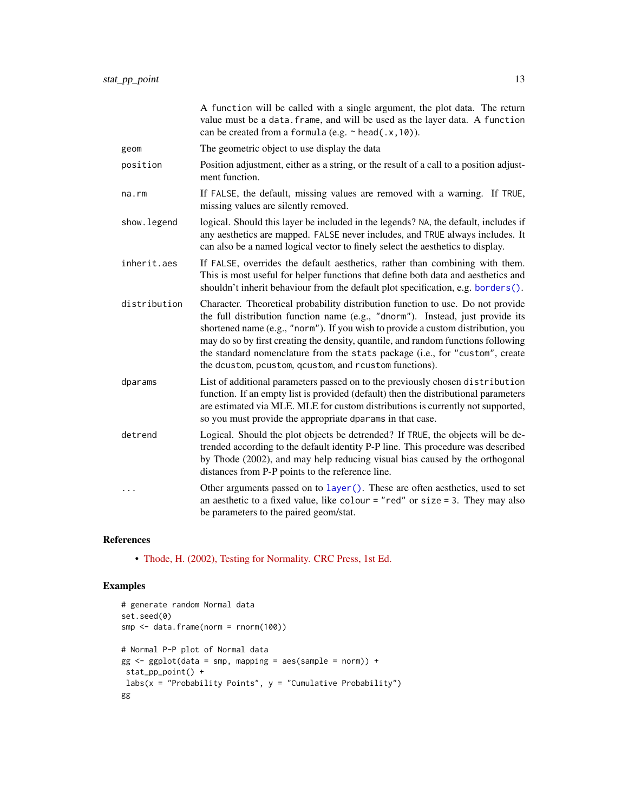<span id="page-12-0"></span>

|              | A function will be called with a single argument, the plot data. The return<br>value must be a data. frame, and will be used as the layer data. A function<br>can be created from a formula (e.g. $\sim$ head(.x, 10)).                                                                                                                                                                                                                                                              |
|--------------|--------------------------------------------------------------------------------------------------------------------------------------------------------------------------------------------------------------------------------------------------------------------------------------------------------------------------------------------------------------------------------------------------------------------------------------------------------------------------------------|
| geom         | The geometric object to use display the data                                                                                                                                                                                                                                                                                                                                                                                                                                         |
| position     | Position adjustment, either as a string, or the result of a call to a position adjust-<br>ment function.                                                                                                                                                                                                                                                                                                                                                                             |
| na.rm        | If FALSE, the default, missing values are removed with a warning. If TRUE,<br>missing values are silently removed.                                                                                                                                                                                                                                                                                                                                                                   |
| show. legend | logical. Should this layer be included in the legends? NA, the default, includes if<br>any aesthetics are mapped. FALSE never includes, and TRUE always includes. It<br>can also be a named logical vector to finely select the aesthetics to display.                                                                                                                                                                                                                               |
| inherit.aes  | If FALSE, overrides the default aesthetics, rather than combining with them.<br>This is most useful for helper functions that define both data and aesthetics and<br>shouldn't inherit behaviour from the default plot specification, e.g. borders().                                                                                                                                                                                                                                |
| distribution | Character. Theoretical probability distribution function to use. Do not provide<br>the full distribution function name (e.g., "dnorm"). Instead, just provide its<br>shortened name (e.g., "norm"). If you wish to provide a custom distribution, you<br>may do so by first creating the density, quantile, and random functions following<br>the standard nomenclature from the stats package (i.e., for "custom", create<br>the dcustom, pcustom, qcustom, and rcustom functions). |
| dparams      | List of additional parameters passed on to the previously chosen distribution<br>function. If an empty list is provided (default) then the distributional parameters<br>are estimated via MLE. MLE for custom distributions is currently not supported,<br>so you must provide the appropriate dparams in that case.                                                                                                                                                                 |
| detrend      | Logical. Should the plot objects be detrended? If TRUE, the objects will be de-<br>trended according to the default identity P-P line. This procedure was described<br>by Thode (2002), and may help reducing visual bias caused by the orthogonal<br>distances from P-P points to the reference line.                                                                                                                                                                               |
| .            | Other arguments passed on to layer (). These are often aesthetics, used to set<br>an aesthetic to a fixed value, like colour = "red" or size = 3. They may also<br>be parameters to the paired geom/stat.                                                                                                                                                                                                                                                                            |

# References

• [Thode, H. \(2002\), Testing for Normality. CRC Press, 1st Ed.](https://www.routledge.com/Testing-For-Normality/Thode/p/book/9780824796136)

```
# generate random Normal data
set.seed(0)
smp <- data.frame(norm = rnorm(100))
# Normal P-P plot of Normal data
gg \leq-ggplot(data = smp, mapping = aes(sample = norm)) +stat_pp_point() +
labs(x = "Probability Points", y = "Cumulative Probability")gg
```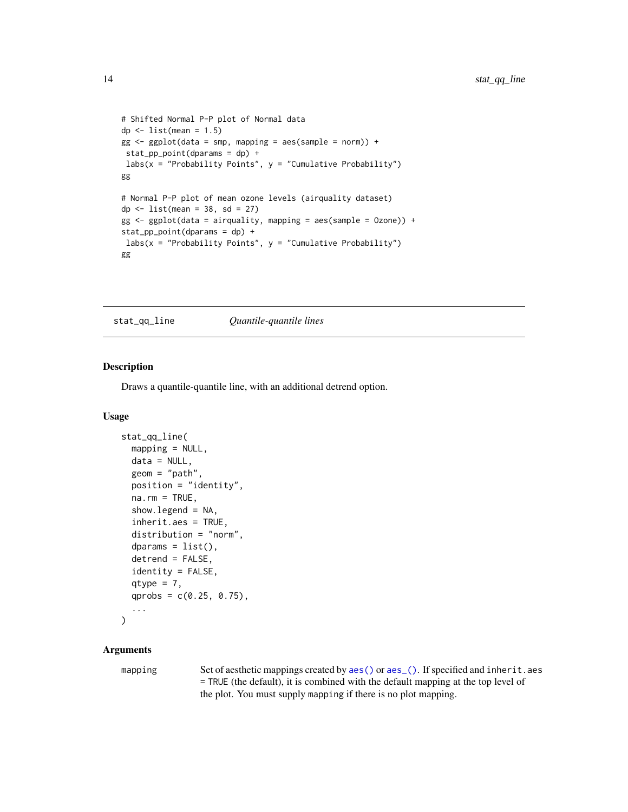```
# Shifted Normal P-P plot of Normal data
dp \leftarrow list(mean = 1.5)gg \leq - ggplot(data = smp, mapping = aes(sample = norm)) +stat_pp_point(dparams = dp) +
labs(x = "Probability Points", y = "Cumulative Probability")gg
# Normal P-P plot of mean ozone levels (airquality dataset)
dp \le -\text{list}(\text{mean} = 38, \text{ sd} = 27)gg \leftarrow ggplot(data = airquality, mapping = aes(sample = 0zone)) +stat_pp_point(dparams = dp) +
labs(x = "Probability Points", y = "Cumulative Probability")gg
```
stat\_qq\_line *Quantile-quantile lines*

# Description

Draws a quantile-quantile line, with an additional detrend option.

#### Usage

```
stat_qq_line(
  mapping = NULL,data = NULL,
  geom = "path",position = "identity",
  na.rm = TRUE,show.legend = NA,
  inherit.aes = TRUE,
  distribution = "norm",
  dparams = list(),
  detrend = FALSE,identity = FALSE,
  qtype = 7,
  qprobs = c(0.25, 0.75),
  ...
\mathcal{L}
```
# Arguments

mapping Set of aesthetic mappings created by [aes\(\)](#page-0-0) or [aes\\_\(\)](#page-0-0). If specified and inherit.aes = TRUE (the default), it is combined with the default mapping at the top level of the plot. You must supply mapping if there is no plot mapping.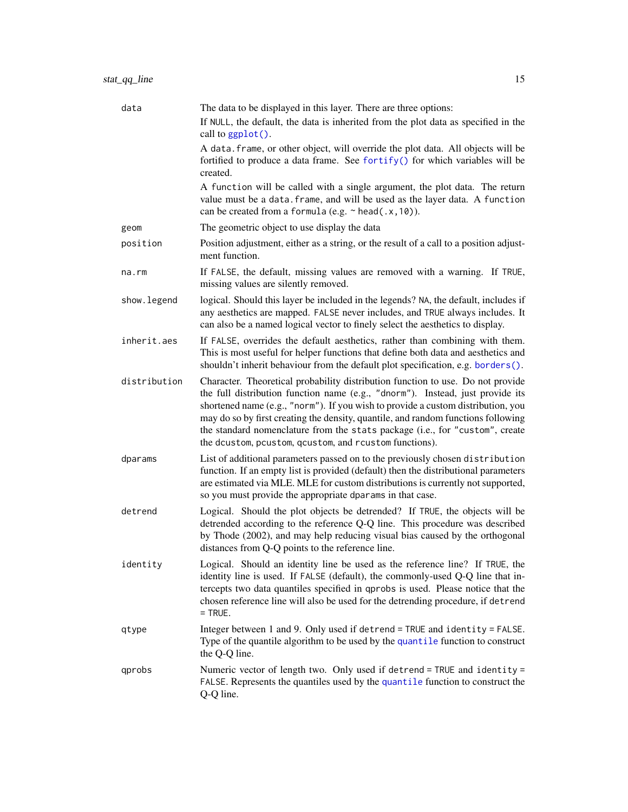<span id="page-14-0"></span>

| data         | The data to be displayed in this layer. There are three options:                                                                                                                                                                                                                                                                                                                                                                                                                     |
|--------------|--------------------------------------------------------------------------------------------------------------------------------------------------------------------------------------------------------------------------------------------------------------------------------------------------------------------------------------------------------------------------------------------------------------------------------------------------------------------------------------|
|              | If NULL, the default, the data is inherited from the plot data as specified in the<br>call to ggplot().                                                                                                                                                                                                                                                                                                                                                                              |
|              | A data. frame, or other object, will override the plot data. All objects will be<br>fortified to produce a data frame. See fortify() for which variables will be<br>created.                                                                                                                                                                                                                                                                                                         |
|              | A function will be called with a single argument, the plot data. The return<br>value must be a data. frame, and will be used as the layer data. A function<br>can be created from a formula (e.g. $\sim$ head(.x, 10)).                                                                                                                                                                                                                                                              |
| geom         | The geometric object to use display the data                                                                                                                                                                                                                                                                                                                                                                                                                                         |
| position     | Position adjustment, either as a string, or the result of a call to a position adjust-<br>ment function.                                                                                                                                                                                                                                                                                                                                                                             |
| na.rm        | If FALSE, the default, missing values are removed with a warning. If TRUE,<br>missing values are silently removed.                                                                                                                                                                                                                                                                                                                                                                   |
| show.legend  | logical. Should this layer be included in the legends? NA, the default, includes if<br>any aesthetics are mapped. FALSE never includes, and TRUE always includes. It<br>can also be a named logical vector to finely select the aesthetics to display.                                                                                                                                                                                                                               |
| inherit.aes  | If FALSE, overrides the default aesthetics, rather than combining with them.<br>This is most useful for helper functions that define both data and aesthetics and<br>shouldn't inherit behaviour from the default plot specification, e.g. borders().                                                                                                                                                                                                                                |
| distribution | Character. Theoretical probability distribution function to use. Do not provide<br>the full distribution function name (e.g., "dnorm"). Instead, just provide its<br>shortened name (e.g., "norm"). If you wish to provide a custom distribution, you<br>may do so by first creating the density, quantile, and random functions following<br>the standard nomenclature from the stats package (i.e., for "custom", create<br>the dcustom, pcustom, qcustom, and rcustom functions). |
| dparams      | List of additional parameters passed on to the previously chosen distribution<br>function. If an empty list is provided (default) then the distributional parameters<br>are estimated via MLE. MLE for custom distributions is currently not supported,<br>so you must provide the appropriate dparams in that case.                                                                                                                                                                 |
| detrend      | Logical. Should the plot objects be detrended? If TRUE, the objects will be<br>detrended according to the reference Q-Q line. This procedure was described<br>by Thode (2002), and may help reducing visual bias caused by the orthogonal<br>distances from Q-Q points to the reference line.                                                                                                                                                                                        |
| identity     | Logical. Should an identity line be used as the reference line? If TRUE, the<br>identity line is used. If FALSE (default), the commonly-used Q-Q line that in-<br>tercepts two data quantiles specified in qprobs is used. Please notice that the<br>chosen reference line will also be used for the detrending procedure, if detrend<br>$=$ TRUE.                                                                                                                                   |
| qtype        | Integer between 1 and 9. Only used if detrend = TRUE and identity = FALSE.<br>Type of the quantile algorithm to be used by the quantile function to construct<br>the Q-Q line.                                                                                                                                                                                                                                                                                                       |
| qprobs       | Numeric vector of length two. Only used if detrend = TRUE and identity =<br>FALSE. Represents the quantiles used by the quantile function to construct the<br>Q-Q line.                                                                                                                                                                                                                                                                                                              |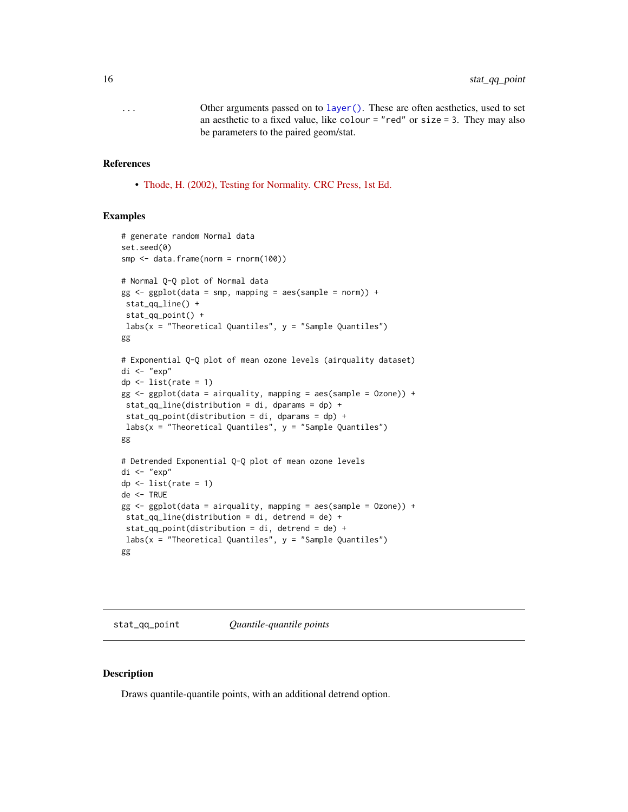<span id="page-15-0"></span>... Other arguments passed on to [layer\(\)](#page-0-0). These are often aesthetics, used to set an aesthetic to a fixed value, like colour  $=$  "red" or size  $=$  3. They may also be parameters to the paired geom/stat.

## References

• [Thode, H. \(2002\), Testing for Normality. CRC Press, 1st Ed.](https://www.routledge.com/Testing-For-Normality/Thode/p/book/9780824796136)

### Examples

```
# generate random Normal data
set.seed(0)
smp <- data.frame(norm = rnorm(100))
# Normal Q-Q plot of Normal data
gg \leq - ggplot(data = smp, mapping = aes(sample = norm)) +stat_qq_line() +
stat_qq_point() +
labs(x = "Theoretical Quantiles", y = "Sample Quantiles")
gg
# Exponential Q-Q plot of mean ozone levels (airquality dataset)
di <- "exp"
dp \leftarrow list(rate = 1)
gg <- ggplot(data = airquality, mapping = aes(sample = Ozone)) +
stat_qq_line(distribution = di, dparams = dp) +
stat_qq_point(distribution = di, dparams = dp) +
labs(x = "Theoretical Quantiles", y = "Sample Quantiles")gg
# Detrended Exponential Q-Q plot of mean ozone levels
di <- "exp"
dp \leftarrow list(rate = 1)
de <- TRUE
gg \leq ggplot(data = airquality, mapping = aes(sample = 0zone)) +
stat_qq_line(distribution = di, detrend = de) +
stat_qq\_point(distribution = di, detrend = de) +
labs(x = "Theoretical Quantiles", y = "Sample Quantiles")gg
```
stat\_qq\_point *Quantile-quantile points*

Description

Draws quantile-quantile points, with an additional detrend option.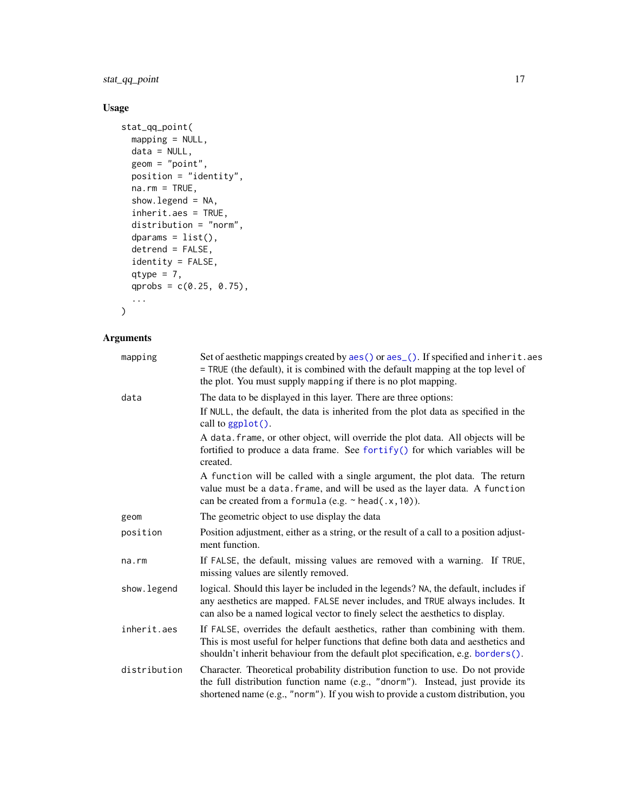<span id="page-16-0"></span>stat\_qq\_point 17

# Usage

```
stat_qq_point(
 mapping = NULL,
 data = NULL,
 geom = "point",
 position = "identity",
 na.rm = TRUE,show.legend = NA,
  inherit.aes = TRUE,
 distribution = "norm",
 dparams = list(),
 detrend = FALSE,
 identity = FALSE,
 qtype = 7,qprobs = c(0.25, 0.75),
  ...
\mathcal{L}
```
# Arguments

| mapping      | Set of aesthetic mappings created by aes() or aes_(). If specified and inherit.aes<br>= TRUE (the default), it is combined with the default mapping at the top level of<br>the plot. You must supply mapping if there is no plot mapping.              |
|--------------|--------------------------------------------------------------------------------------------------------------------------------------------------------------------------------------------------------------------------------------------------------|
| data         | The data to be displayed in this layer. There are three options:                                                                                                                                                                                       |
|              | If NULL, the default, the data is inherited from the plot data as specified in the<br>call to ggplot().                                                                                                                                                |
|              | A data. frame, or other object, will override the plot data. All objects will be<br>fortified to produce a data frame. See fortify() for which variables will be<br>created.                                                                           |
|              | A function will be called with a single argument, the plot data. The return<br>value must be a data. frame, and will be used as the layer data. A function<br>can be created from a formula (e.g. $\sim$ head(.x, 10)).                                |
| geom         | The geometric object to use display the data                                                                                                                                                                                                           |
| position     | Position adjustment, either as a string, or the result of a call to a position adjust-<br>ment function.                                                                                                                                               |
| na.rm        | If FALSE, the default, missing values are removed with a warning. If TRUE,<br>missing values are silently removed.                                                                                                                                     |
| show. legend | logical. Should this layer be included in the legends? NA, the default, includes if<br>any aesthetics are mapped. FALSE never includes, and TRUE always includes. It<br>can also be a named logical vector to finely select the aesthetics to display. |
| inherit.aes  | If FALSE, overrides the default aesthetics, rather than combining with them.<br>This is most useful for helper functions that define both data and aesthetics and<br>shouldn't inherit behaviour from the default plot specification, e.g. borders().  |
| distribution | Character. Theoretical probability distribution function to use. Do not provide<br>the full distribution function name (e.g., "dnorm"). Instead, just provide its<br>shortened name (e.g., "norm"). If you wish to provide a custom distribution, you  |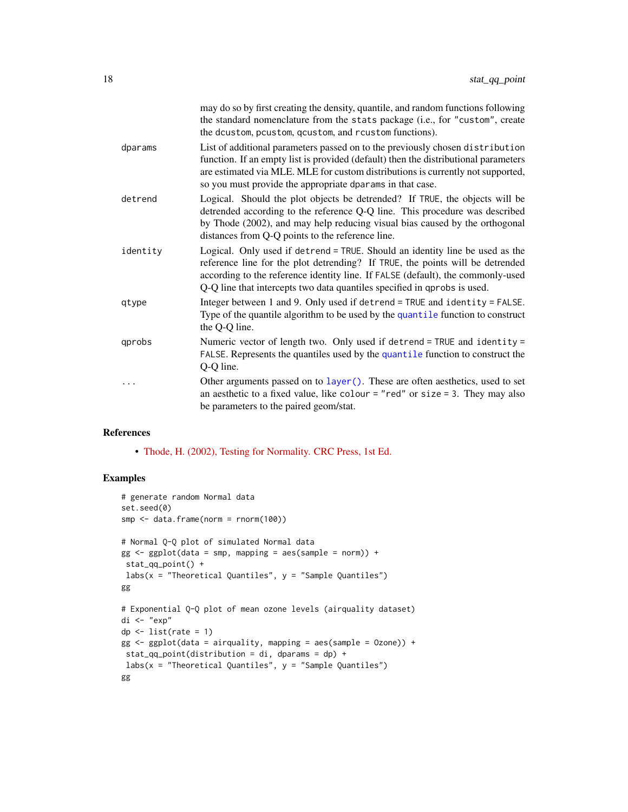<span id="page-17-0"></span>

|          | may do so by first creating the density, quantile, and random functions following<br>the standard nomenclature from the stats package (i.e., for "custom", create<br>the dcustom, pcustom, qcustom, and rcustom functions).                                                                                                  |
|----------|------------------------------------------------------------------------------------------------------------------------------------------------------------------------------------------------------------------------------------------------------------------------------------------------------------------------------|
| dparams  | List of additional parameters passed on to the previously chosen distribution<br>function. If an empty list is provided (default) then the distributional parameters<br>are estimated via MLE. MLE for custom distributions is currently not supported,<br>so you must provide the appropriate dparams in that case.         |
| detrend  | Logical. Should the plot objects be detrended? If TRUE, the objects will be<br>detrended according to the reference Q-Q line. This procedure was described<br>by Thode (2002), and may help reducing visual bias caused by the orthogonal<br>distances from Q-Q points to the reference line.                                |
| identity | Logical. Only used if detrend = TRUE. Should an identity line be used as the<br>reference line for the plot detrending? If TRUE, the points will be detrended<br>according to the reference identity line. If FALSE (default), the commonly-used<br>Q-Q line that intercepts two data quantiles specified in qprobs is used. |
| qtype    | Integer between 1 and 9. Only used if detrend = TRUE and identity = FALSE.<br>Type of the quantile algorithm to be used by the quantile function to construct<br>the Q-Q line.                                                                                                                                               |
| qprobs   | Numeric vector of length two. Only used if detrend = TRUE and identity =<br>FALSE. Represents the quantiles used by the quantile function to construct the<br>Q-Q line.                                                                                                                                                      |
|          | Other arguments passed on to $layer()$ . These are often aesthetics, used to set<br>an aesthetic to a fixed value, like colour = "red" or size = 3. They may also<br>be parameters to the paired geom/stat.                                                                                                                  |

#### References

• [Thode, H. \(2002\), Testing for Normality. CRC Press, 1st Ed.](https://www.routledge.com/Testing-For-Normality/Thode/p/book/9780824796136)

```
# generate random Normal data
set.seed(0)
smp <- data.frame(norm = rnorm(100))
# Normal Q-Q plot of simulated Normal data
gg \le - ggplot(data = smp, mapping = aes(sample = norm)) +
stat_qq_point() +
labs(x = "Theoretical Quantiles", y = "Sample Quantiles")gg
# Exponential Q-Q plot of mean ozone levels (airquality dataset)
di <- "exp"
dp \leftarrow list(rate = 1)gg <- ggplot(data = airquality, mapping = aes(sample = Ozone)) +
stat_qq\_point(distribution = di, dparams = dp) +
labs(x = "Theoretical Quantiles", y = "Sample Quantiles")gg
```